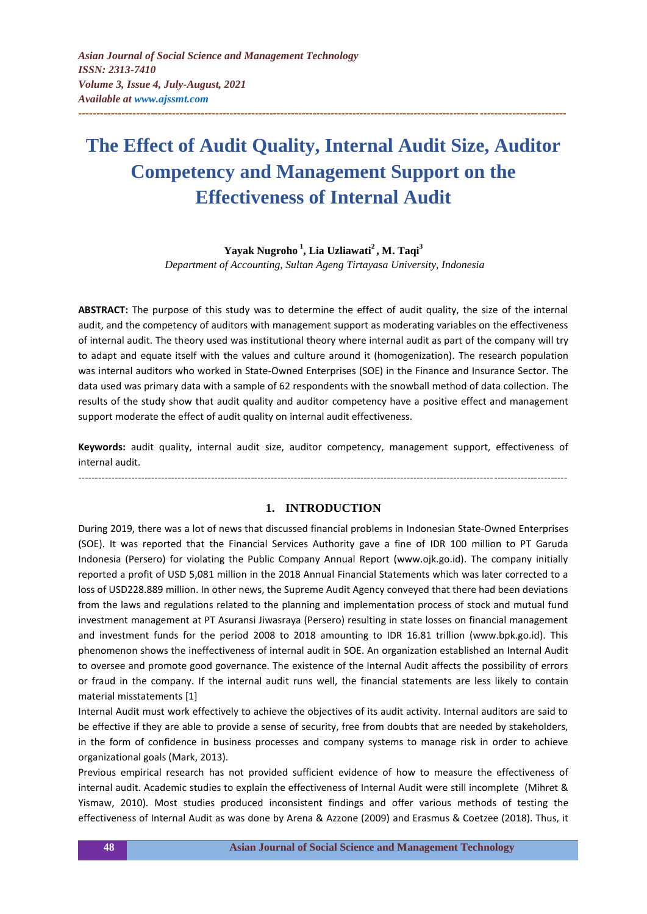# **The Effect of Audit Quality, Internal Audit Size, Auditor Competency and Management Support on the Effectiveness of Internal Audit**

**---------------------------------------------------------------------------------------------------------------------------------------**

# **Yayak Nugroho <sup>1</sup> , Lia Uzliawati<sup>2</sup> , M. Taqi<sup>3</sup>**

*Department of Accounting, Sultan Ageng Tirtayasa University, Indonesia*

**ABSTRACT:** The purpose of this study was to determine the effect of audit quality, the size of the internal audit, and the competency of auditors with management support as moderating variables on the effectiveness of internal audit. The theory used was institutional theory where internal audit as part of the company will try to adapt and equate itself with the values and culture around it (homogenization). The research population was internal auditors who worked in State-Owned Enterprises (SOE) in the Finance and Insurance Sector. The data used was primary data with a sample of 62 respondents with the snowball method of data collection. The results of the study show that audit quality and auditor competency have a positive effect and management support moderate the effect of audit quality on internal audit effectiveness.

**Keywords:** audit quality, internal audit size, auditor competency, management support, effectiveness of internal audit.

*---------------------------------------------------------------------------------------------------------------------------------------------------*

## **1. INTRODUCTION**

During 2019, there was a lot of news that discussed financial problems in Indonesian State-Owned Enterprises (SOE). It was reported that the Financial Services Authority gave a fine of IDR 100 million to PT Garuda Indonesia (Persero) for violating the Public Company Annual Report (www.ojk.go.id). The company initially reported a profit of USD 5,081 million in the 2018 Annual Financial Statements which was later corrected to a loss of USD228.889 million. In other news, the Supreme Audit Agency conveyed that there had been deviations from the laws and regulations related to the planning and implementation process of stock and mutual fund investment management at PT Asuransi Jiwasraya (Persero) resulting in state losses on financial management and investment funds for the period 2008 to 2018 amounting to IDR 16.81 trillion (www.bpk.go.id). This phenomenon shows the ineffectiveness of internal audit in SOE. An organization established an Internal Audit to oversee and promote good governance. The existence of the Internal Audit affects the possibility of errors or fraud in the company. If the internal audit runs well, the financial statements are less likely to contain material misstatements [1]

Internal Audit must work effectively to achieve the objectives of its audit activity. Internal auditors are said to be effective if they are able to provide a sense of security, free from doubts that are needed by stakeholders, in the form of confidence in business processes and company systems to manage risk in order to achieve organizational goals (Mark, 2013).

Previous empirical research has not provided sufficient evidence of how to measure the effectiveness of internal audit. Academic studies to explain the effectiveness of Internal Audit were still incomplete (Mihret & Yismaw, 2010). Most studies produced inconsistent findings and offer various methods of testing the effectiveness of Internal Audit as was done by Arena & Azzone (2009) and Erasmus & Coetzee (2018). Thus, it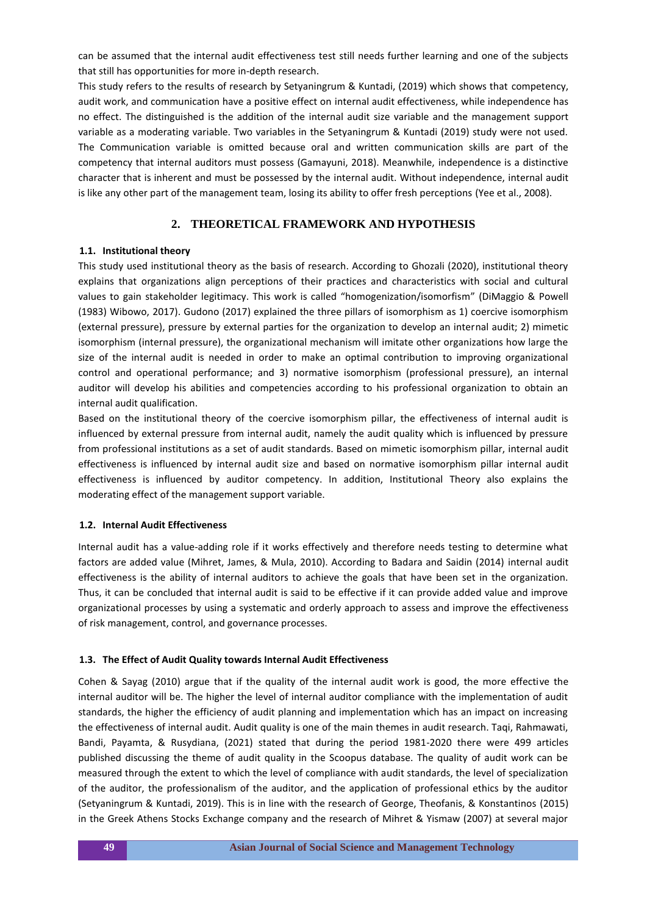can be assumed that the internal audit effectiveness test still needs further learning and one of the subjects that still has opportunities for more in-depth research.

This study refers to the results of research by Setyaningrum & Kuntadi, (2019) which shows that competency, audit work, and communication have a positive effect on internal audit effectiveness, while independence has no effect. The distinguished is the addition of the internal audit size variable and the management support variable as a moderating variable. Two variables in the Setyaningrum & Kuntadi (2019) study were not used. The Communication variable is omitted because oral and written communication skills are part of the competency that internal auditors must possess (Gamayuni, 2018). Meanwhile, independence is a distinctive character that is inherent and must be possessed by the internal audit. Without independence, internal audit is like any other part of the management team, losing its ability to offer fresh perceptions (Yee et al., 2008).

# **2. THEORETICAL FRAMEWORK AND HYPOTHESIS**

## **1.1. Institutional theory**

This study used institutional theory as the basis of research. According to Ghozali (2020), institutional theory explains that organizations align perceptions of their practices and characteristics with social and cultural values to gain stakeholder legitimacy. This work is called "homogenization/isomorfism" (DiMaggio & Powell (1983) Wibowo, 2017). Gudono (2017) explained the three pillars of isomorphism as 1) coercive isomorphism (external pressure), pressure by external parties for the organization to develop an internal audit; 2) mimetic isomorphism (internal pressure), the organizational mechanism will imitate other organizations how large the size of the internal audit is needed in order to make an optimal contribution to improving organizational control and operational performance; and 3) normative isomorphism (professional pressure), an internal auditor will develop his abilities and competencies according to his professional organization to obtain an internal audit qualification.

Based on the institutional theory of the coercive isomorphism pillar, the effectiveness of internal audit is influenced by external pressure from internal audit, namely the audit quality which is influenced by pressure from professional institutions as a set of audit standards. Based on mimetic isomorphism pillar, internal audit effectiveness is influenced by internal audit size and based on normative isomorphism pillar internal audit effectiveness is influenced by auditor competency. In addition, Institutional Theory also explains the moderating effect of the management support variable.

## **1.2. Internal Audit Effectiveness**

Internal audit has a value-adding role if it works effectively and therefore needs testing to determine what factors are added value (Mihret, James, & Mula, 2010). According to Badara and Saidin (2014) internal audit effectiveness is the ability of internal auditors to achieve the goals that have been set in the organization. Thus, it can be concluded that internal audit is said to be effective if it can provide added value and improve organizational processes by using a systematic and orderly approach to assess and improve the effectiveness of risk management, control, and governance processes.

## **1.3. The Effect of Audit Quality towards Internal Audit Effectiveness**

Cohen & Sayag (2010) argue that if the quality of the internal audit work is good, the more effective the internal auditor will be. The higher the level of internal auditor compliance with the implementation of audit standards, the higher the efficiency of audit planning and implementation which has an impact on increasing the effectiveness of internal audit. Audit quality is one of the main themes in audit research. Taqi, Rahmawati, Bandi, Payamta, & Rusydiana, (2021) stated that during the period 1981-2020 there were 499 articles published discussing the theme of audit quality in the Scoopus database. The quality of audit work can be measured through the extent to which the level of compliance with audit standards, the level of specialization of the auditor, the professionalism of the auditor, and the application of professional ethics by the auditor (Setyaningrum & Kuntadi, 2019). This is in line with the research of George, Theofanis, & Konstantinos (2015) in the Greek Athens Stocks Exchange company and the research of Mihret & Yismaw (2007) at several major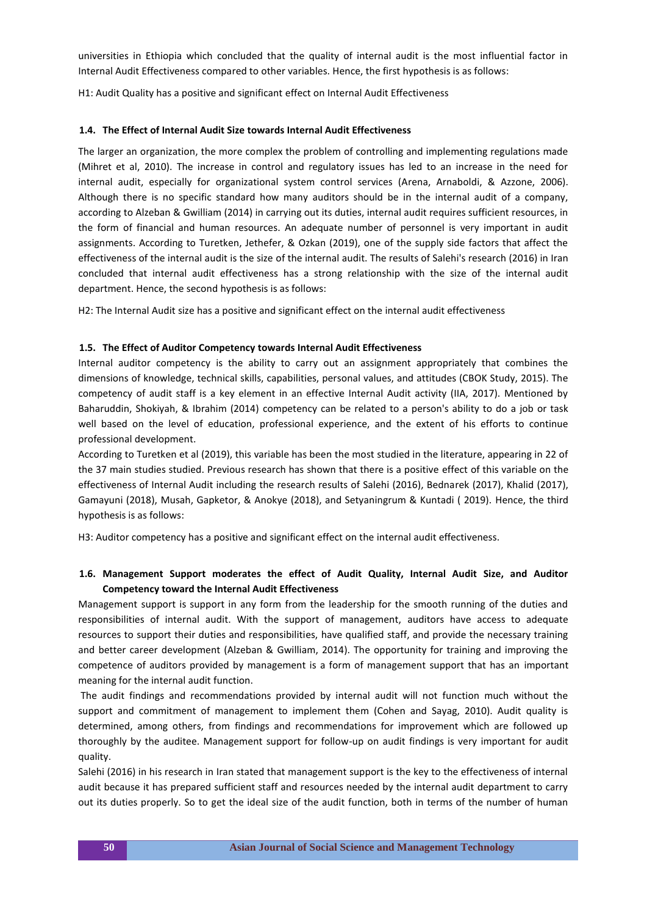universities in Ethiopia which concluded that the quality of internal audit is the most influential factor in Internal Audit Effectiveness compared to other variables. Hence, the first hypothesis is as follows:

H1: Audit Quality has a positive and significant effect on Internal Audit Effectiveness

#### **1.4. The Effect of Internal Audit Size towards Internal Audit Effectiveness**

The larger an organization, the more complex the problem of controlling and implementing regulations made (Mihret et al, 2010). The increase in control and regulatory issues has led to an increase in the need for internal audit, especially for organizational system control services (Arena, Arnaboldi, & Azzone, 2006). Although there is no specific standard how many auditors should be in the internal audit of a company, according to Alzeban & Gwilliam (2014) in carrying out its duties, internal audit requires sufficient resources, in the form of financial and human resources. An adequate number of personnel is very important in audit assignments. According to Turetken, Jethefer, & Ozkan (2019), one of the supply side factors that affect the effectiveness of the internal audit is the size of the internal audit. The results of Salehi's research (2016) in Iran concluded that internal audit effectiveness has a strong relationship with the size of the internal audit department. Hence, the second hypothesis is as follows:

H2: The Internal Audit size has a positive and significant effect on the internal audit effectiveness

#### **1.5. The Effect of Auditor Competency towards Internal Audit Effectiveness**

Internal auditor competency is the ability to carry out an assignment appropriately that combines the dimensions of knowledge, technical skills, capabilities, personal values, and attitudes (CBOK Study, 2015). The competency of audit staff is a key element in an effective Internal Audit activity (IIA, 2017). Mentioned by Baharuddin, Shokiyah, & Ibrahim (2014) competency can be related to a person's ability to do a job or task well based on the level of education, professional experience, and the extent of his efforts to continue professional development.

According to Turetken et al (2019), this variable has been the most studied in the literature, appearing in 22 of the 37 main studies studied. Previous research has shown that there is a positive effect of this variable on the effectiveness of Internal Audit including the research results of Salehi (2016), Bednarek (2017), Khalid (2017), Gamayuni (2018), Musah, Gapketor, & Anokye (2018), and Setyaningrum & Kuntadi ( 2019). Hence, the third hypothesis is as follows:

H3: Auditor competency has a positive and significant effect on the internal audit effectiveness.

# **1.6. Management Support moderates the effect of Audit Quality, Internal Audit Size, and Auditor Competency toward the Internal Audit Effectiveness**

Management support is support in any form from the leadership for the smooth running of the duties and responsibilities of internal audit. With the support of management, auditors have access to adequate resources to support their duties and responsibilities, have qualified staff, and provide the necessary training and better career development (Alzeban & Gwilliam, 2014). The opportunity for training and improving the competence of auditors provided by management is a form of management support that has an important meaning for the internal audit function.

The audit findings and recommendations provided by internal audit will not function much without the support and commitment of management to implement them (Cohen and Sayag, 2010). Audit quality is determined, among others, from findings and recommendations for improvement which are followed up thoroughly by the auditee. Management support for follow-up on audit findings is very important for audit quality.

Salehi (2016) in his research in Iran stated that management support is the key to the effectiveness of internal audit because it has prepared sufficient staff and resources needed by the internal audit department to carry out its duties properly. So to get the ideal size of the audit function, both in terms of the number of human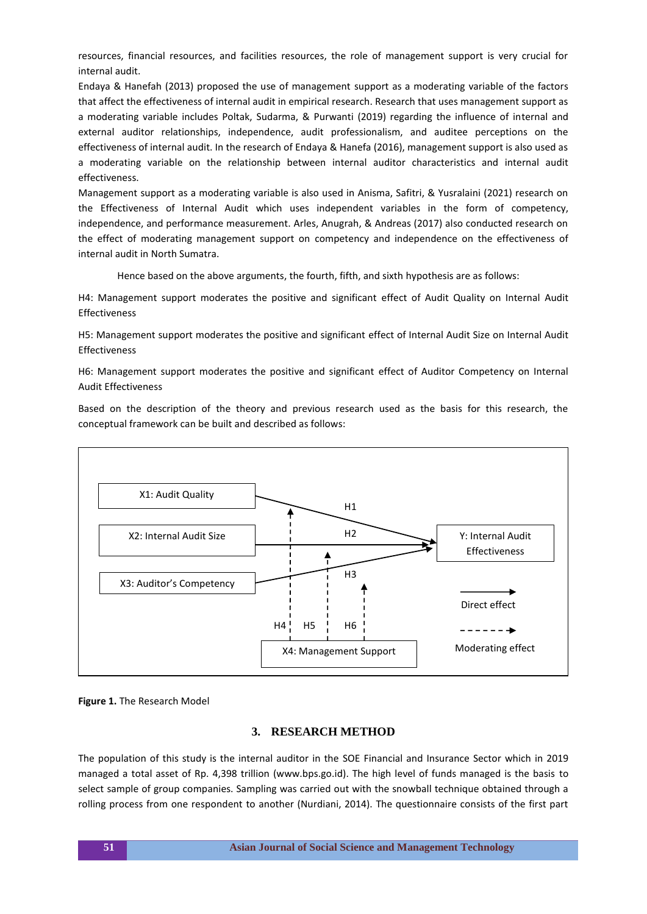resources, financial resources, and facilities resources, the role of management support is very crucial for internal audit.

Endaya & Hanefah (2013) proposed the use of management support as a moderating variable of the factors that affect the effectiveness of internal audit in empirical research. Research that uses management support as a moderating variable includes Poltak, Sudarma, & Purwanti (2019) regarding the influence of internal and external auditor relationships, independence, audit professionalism, and auditee perceptions on the effectiveness of internal audit. In the research of Endaya & Hanefa (2016), management support is also used as a moderating variable on the relationship between internal auditor characteristics and internal audit effectiveness.

Management support as a moderating variable is also used in Anisma, Safitri, & Yusralaini (2021) research on the Effectiveness of Internal Audit which uses independent variables in the form of competency, independence, and performance measurement. Arles, Anugrah, & Andreas (2017) also conducted research on the effect of moderating management support on competency and independence on the effectiveness of internal audit in North Sumatra.

Hence based on the above arguments, the fourth, fifth, and sixth hypothesis are as follows:

H4: Management support moderates the positive and significant effect of Audit Quality on Internal Audit Effectiveness

H5: Management support moderates the positive and significant effect of Internal Audit Size on Internal Audit Effectiveness

H6: Management support moderates the positive and significant effect of Auditor Competency on Internal Audit Effectiveness

Based on the description of the theory and previous research used as the basis for this research, the conceptual framework can be built and described as follows:



**Figure 1.** The Research Model

# **3. RESEARCH METHOD**

The population of this study is the internal auditor in the SOE Financial and Insurance Sector which in 2019 managed a total asset of Rp. 4,398 trillion (www.bps.go.id). The high level of funds managed is the basis to select sample of group companies. Sampling was carried out with the snowball technique obtained through a rolling process from one respondent to another (Nurdiani, 2014). The questionnaire consists of the first part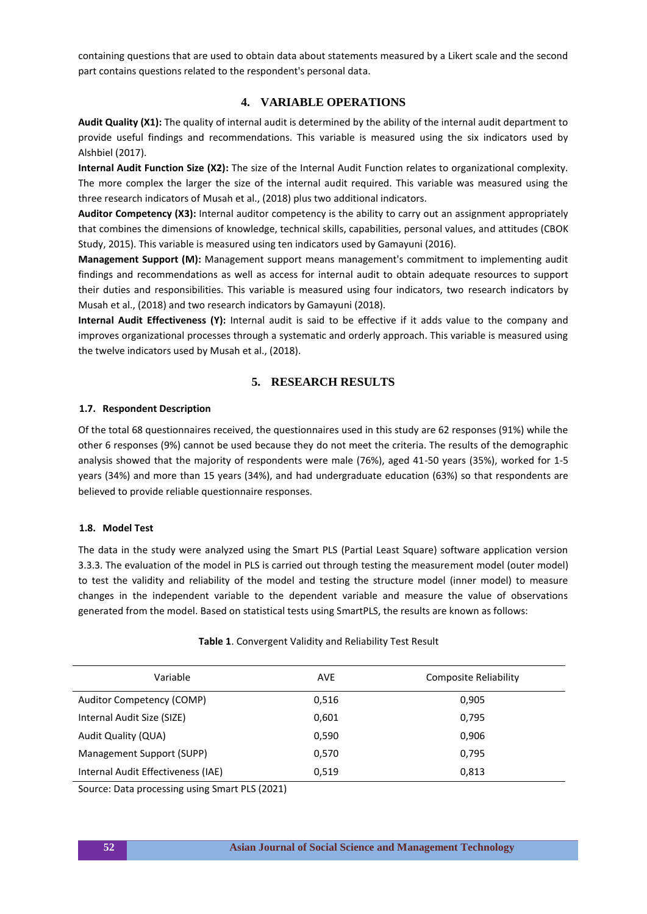containing questions that are used to obtain data about statements measured by a Likert scale and the second part contains questions related to the respondent's personal data.

# **4. VARIABLE OPERATIONS**

**Audit Quality (X1):** The quality of internal audit is determined by the ability of the internal audit department to provide useful findings and recommendations. This variable is measured using the six indicators used by Alshbiel (2017).

**Internal Audit Function Size (X2):** The size of the Internal Audit Function relates to organizational complexity. The more complex the larger the size of the internal audit required. This variable was measured using the three research indicators of Musah et al., (2018) plus two additional indicators.

**Auditor Competency (X3):** Internal auditor competency is the ability to carry out an assignment appropriately that combines the dimensions of knowledge, technical skills, capabilities, personal values, and attitudes (CBOK Study, 2015). This variable is measured using ten indicators used by Gamayuni (2016).

**Management Support (M):** Management support means management's commitment to implementing audit findings and recommendations as well as access for internal audit to obtain adequate resources to support their duties and responsibilities. This variable is measured using four indicators, two research indicators by Musah et al., (2018) and two research indicators by Gamayuni (2018).

**Internal Audit Effectiveness (Y):** Internal audit is said to be effective if it adds value to the company and improves organizational processes through a systematic and orderly approach. This variable is measured using the twelve indicators used by Musah et al., (2018).

## **5. RESEARCH RESULTS**

#### **1.7. Respondent Description**

Of the total 68 questionnaires received, the questionnaires used in this study are 62 responses (91%) while the other 6 responses (9%) cannot be used because they do not meet the criteria. The results of the demographic analysis showed that the majority of respondents were male (76%), aged 41-50 years (35%), worked for 1-5 years (34%) and more than 15 years (34%), and had undergraduate education (63%) so that respondents are believed to provide reliable questionnaire responses.

## **1.8. Model Test**

The data in the study were analyzed using the Smart PLS (Partial Least Square) software application version 3.3.3. The evaluation of the model in PLS is carried out through testing the measurement model (outer model) to test the validity and reliability of the model and testing the structure model (inner model) to measure changes in the independent variable to the dependent variable and measure the value of observations generated from the model. Based on statistical tests using SmartPLS, the results are known as follows:

| Variable                           | <b>AVE</b> | Composite Reliability |
|------------------------------------|------------|-----------------------|
| Auditor Competency (COMP)          | 0,516      | 0,905                 |
| Internal Audit Size (SIZE)         | 0,601      | 0,795                 |
| Audit Quality (QUA)                | 0,590      | 0,906                 |
| Management Support (SUPP)          | 0,570      | 0,795                 |
| Internal Audit Effectiveness (IAE) | 0,519      | 0,813                 |

#### **Table 1**. Convergent Validity and Reliability Test Result

Source: Data processing using Smart PLS (2021)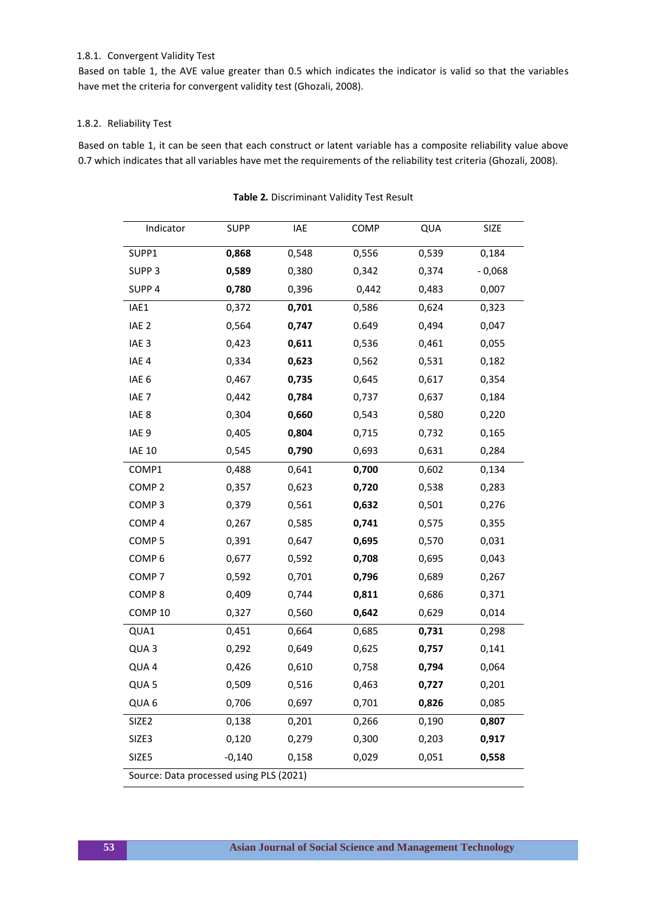## 1.8.1. Convergent Validity Test

Based on table 1, the AVE value greater than 0.5 which indicates the indicator is valid so that the variables have met the criteria for convergent validity test (Ghozali, 2008).

### 1.8.2. Reliability Test

Based on table 1, it can be seen that each construct or latent variable has a composite reliability value above 0.7 which indicates that all variables have met the requirements of the reliability test criteria (Ghozali, 2008).

| Indicator                               | <b>SUPP</b> | IAE   | COMP  | QUA   | SIZE     |  |  |  |
|-----------------------------------------|-------------|-------|-------|-------|----------|--|--|--|
| SUPP1                                   | 0,868       | 0,548 | 0,556 | 0,539 | 0,184    |  |  |  |
| SUPP <sub>3</sub>                       | 0,589       | 0,380 | 0,342 | 0,374 | $-0,068$ |  |  |  |
| SUPP <sub>4</sub>                       | 0,780       | 0,396 | 0,442 | 0,483 | 0,007    |  |  |  |
| IAE1                                    | 0,372       | 0,701 | 0,586 | 0,624 | 0,323    |  |  |  |
| IAE <sub>2</sub>                        | 0,564       | 0,747 | 0.649 | 0,494 | 0,047    |  |  |  |
| IAE <sub>3</sub>                        | 0,423       | 0,611 | 0,536 | 0,461 | 0,055    |  |  |  |
| IAE <sub>4</sub>                        | 0,334       | 0,623 | 0,562 | 0,531 | 0,182    |  |  |  |
| IAE <sub>6</sub>                        | 0,467       | 0,735 | 0,645 | 0,617 | 0,354    |  |  |  |
| IAE <sub>7</sub>                        | 0,442       | 0,784 | 0,737 | 0,637 | 0,184    |  |  |  |
| IAE <sub>8</sub>                        | 0,304       | 0,660 | 0,543 | 0,580 | 0,220    |  |  |  |
| IAE <sub>9</sub>                        | 0,405       | 0,804 | 0,715 | 0,732 | 0,165    |  |  |  |
| <b>IAE 10</b>                           | 0,545       | 0,790 | 0,693 | 0,631 | 0,284    |  |  |  |
| COMP1                                   | 0,488       | 0,641 | 0,700 | 0,602 | 0,134    |  |  |  |
| COMP <sub>2</sub>                       | 0,357       | 0,623 | 0,720 | 0,538 | 0,283    |  |  |  |
| COMP <sub>3</sub>                       | 0,379       | 0,561 | 0,632 | 0,501 | 0,276    |  |  |  |
| COMP <sub>4</sub>                       | 0,267       | 0,585 | 0,741 | 0,575 | 0,355    |  |  |  |
| COMP <sub>5</sub>                       | 0,391       | 0,647 | 0,695 | 0,570 | 0,031    |  |  |  |
| COMP <sub>6</sub>                       | 0,677       | 0,592 | 0,708 | 0,695 | 0,043    |  |  |  |
| COMP <sub>7</sub>                       | 0,592       | 0,701 | 0,796 | 0,689 | 0,267    |  |  |  |
| COMP <sub>8</sub>                       | 0,409       | 0,744 | 0,811 | 0,686 | 0,371    |  |  |  |
| COMP <sub>10</sub>                      | 0,327       | 0,560 | 0,642 | 0,629 | 0,014    |  |  |  |
| QUA1                                    | 0,451       | 0,664 | 0,685 | 0,731 | 0,298    |  |  |  |
| QUA <sub>3</sub>                        | 0,292       | 0,649 | 0,625 | 0,757 | 0,141    |  |  |  |
| QUA4                                    | 0,426       | 0,610 | 0,758 | 0,794 | 0,064    |  |  |  |
| QUA <sub>5</sub>                        | 0,509       | 0,516 | 0,463 | 0,727 | 0,201    |  |  |  |
| QUA 6                                   | 0,706       | 0,697 | 0,701 | 0,826 | 0,085    |  |  |  |
| SIZE <sub>2</sub>                       | 0,138       | 0,201 | 0,266 | 0,190 | 0,807    |  |  |  |
| SIZE3                                   | 0,120       | 0,279 | 0,300 | 0,203 | 0,917    |  |  |  |
| SIZE5                                   | $-0,140$    | 0,158 | 0,029 | 0,051 | 0,558    |  |  |  |
| Source: Data processed using PLS (2021) |             |       |       |       |          |  |  |  |

**Table 2***.* Discriminant Validity Test Result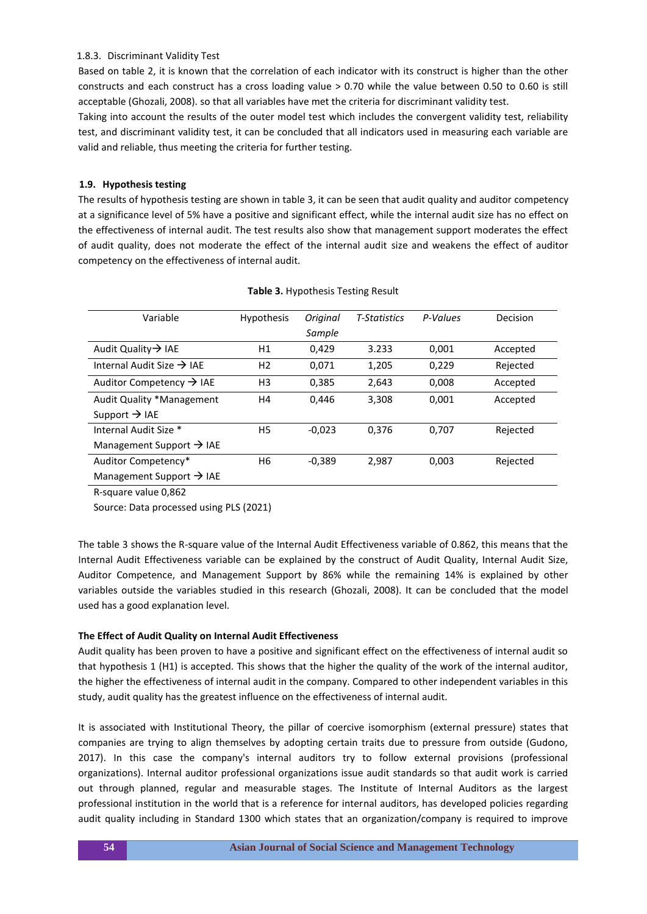### 1.8.3. Discriminant Validity Test

Based on table 2, it is known that the correlation of each indicator with its construct is higher than the other constructs and each construct has a cross loading value > 0.70 while the value between 0.50 to 0.60 is still acceptable (Ghozali, 2008). so that all variables have met the criteria for discriminant validity test.

Taking into account the results of the outer model test which includes the convergent validity test, reliability test, and discriminant validity test, it can be concluded that all indicators used in measuring each variable are valid and reliable, thus meeting the criteria for further testing.

### **1.9. Hypothesis testing**

The results of hypothesis testing are shown in table 3, it can be seen that audit quality and auditor competency at a significance level of 5% have a positive and significant effect, while the internal audit size has no effect on the effectiveness of internal audit. The test results also show that management support moderates the effect of audit quality, does not moderate the effect of the internal audit size and weakens the effect of auditor competency on the effectiveness of internal audit.

| Variable                              | <b>Hypothesis</b> | Original | <b>T-Statistics</b> | P-Values | Decision |
|---------------------------------------|-------------------|----------|---------------------|----------|----------|
|                                       |                   | Sample   |                     |          |          |
| Audit Quality $\rightarrow$ IAE       | Η1                | 0,429    | 3.233               | 0,001    | Accepted |
| Internal Audit Size $\rightarrow$ IAE | H <sub>2</sub>    | 0.071    | 1,205               | 0,229    | Rejected |
| Auditor Competency $\rightarrow$ IAE  | H <sub>3</sub>    | 0,385    | 2,643               | 0,008    | Accepted |
| Audit Quality *Management             | Η4                | 0.446    | 3,308               | 0,001    | Accepted |
| Support $\rightarrow$ IAE             |                   |          |                     |          |          |
| Internal Audit Size *                 | H <sub>5</sub>    | $-0.023$ | 0,376               | 0,707    | Rejected |
| Management Support $\rightarrow$ IAE  |                   |          |                     |          |          |
| Auditor Competency*                   | Η6                | $-0.389$ | 2,987               | 0,003    | Rejected |
| Management Support $\rightarrow$ IAE  |                   |          |                     |          |          |

#### **Table 3.** Hypothesis Testing Result

R-square value 0,862

Source: Data processed using PLS (2021)

The table 3 shows the R-square value of the Internal Audit Effectiveness variable of 0.862, this means that the Internal Audit Effectiveness variable can be explained by the construct of Audit Quality, Internal Audit Size, Auditor Competence, and Management Support by 86% while the remaining 14% is explained by other variables outside the variables studied in this research (Ghozali, 2008). It can be concluded that the model used has a good explanation level.

## **The Effect of Audit Quality on Internal Audit Effectiveness**

Audit quality has been proven to have a positive and significant effect on the effectiveness of internal audit so that hypothesis 1 (H1) is accepted. This shows that the higher the quality of the work of the internal auditor, the higher the effectiveness of internal audit in the company. Compared to other independent variables in this study, audit quality has the greatest influence on the effectiveness of internal audit.

It is associated with Institutional Theory, the pillar of coercive isomorphism (external pressure) states that companies are trying to align themselves by adopting certain traits due to pressure from outside (Gudono, 2017). In this case the company's internal auditors try to follow external provisions (professional organizations). Internal auditor professional organizations issue audit standards so that audit work is carried out through planned, regular and measurable stages. The Institute of Internal Auditors as the largest professional institution in the world that is a reference for internal auditors, has developed policies regarding audit quality including in Standard 1300 which states that an organization/company is required to improve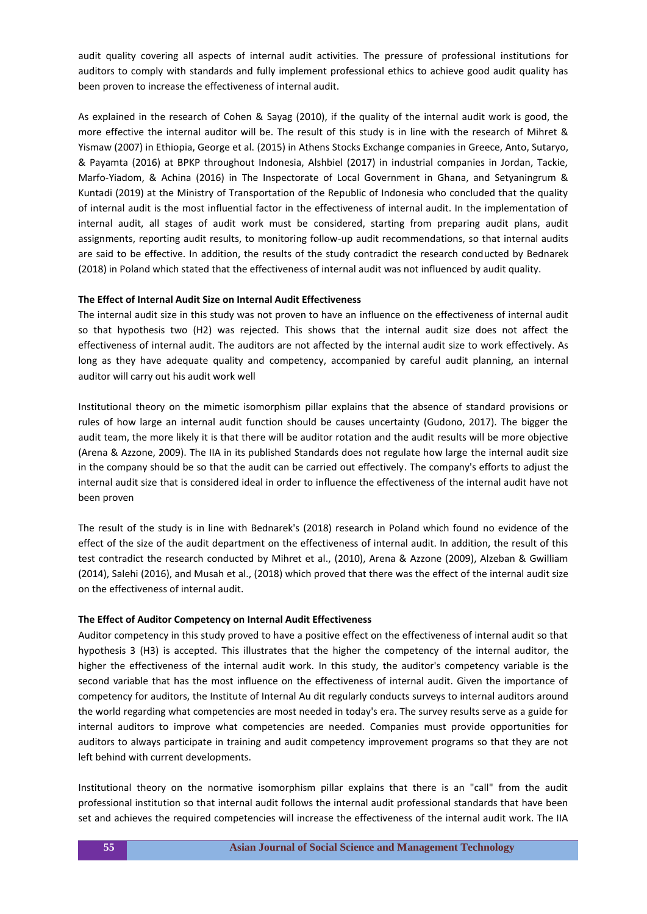audit quality covering all aspects of internal audit activities. The pressure of professional institutions for auditors to comply with standards and fully implement professional ethics to achieve good audit quality has been proven to increase the effectiveness of internal audit.

As explained in the research of Cohen & Sayag (2010), if the quality of the internal audit work is good, the more effective the internal auditor will be. The result of this study is in line with the research of Mihret & Yismaw (2007) in Ethiopia, George et al. (2015) in Athens Stocks Exchange companies in Greece, Anto, Sutaryo, & Payamta (2016) at BPKP throughout Indonesia, Alshbiel (2017) in industrial companies in Jordan, Tackie, Marfo-Yiadom, & Achina (2016) in The Inspectorate of Local Government in Ghana, and Setyaningrum & Kuntadi (2019) at the Ministry of Transportation of the Republic of Indonesia who concluded that the quality of internal audit is the most influential factor in the effectiveness of internal audit. In the implementation of internal audit, all stages of audit work must be considered, starting from preparing audit plans, audit assignments, reporting audit results, to monitoring follow-up audit recommendations, so that internal audits are said to be effective. In addition, the results of the study contradict the research conducted by Bednarek (2018) in Poland which stated that the effectiveness of internal audit was not influenced by audit quality.

#### **The Effect of Internal Audit Size on Internal Audit Effectiveness**

The internal audit size in this study was not proven to have an influence on the effectiveness of internal audit so that hypothesis two (H2) was rejected. This shows that the internal audit size does not affect the effectiveness of internal audit. The auditors are not affected by the internal audit size to work effectively. As long as they have adequate quality and competency, accompanied by careful audit planning, an internal auditor will carry out his audit work well

Institutional theory on the mimetic isomorphism pillar explains that the absence of standard provisions or rules of how large an internal audit function should be causes uncertainty (Gudono, 2017). The bigger the audit team, the more likely it is that there will be auditor rotation and the audit results will be more objective (Arena & Azzone, 2009). The IIA in its published Standards does not regulate how large the internal audit size in the company should be so that the audit can be carried out effectively. The company's efforts to adjust the internal audit size that is considered ideal in order to influence the effectiveness of the internal audit have not been proven

The result of the study is in line with Bednarek's (2018) research in Poland which found no evidence of the effect of the size of the audit department on the effectiveness of internal audit. In addition, the result of this test contradict the research conducted by Mihret et al., (2010), Arena & Azzone (2009), Alzeban & Gwilliam (2014), Salehi (2016), and Musah et al., (2018) which proved that there was the effect of the internal audit size on the effectiveness of internal audit.

#### **The Effect of Auditor Competency on Internal Audit Effectiveness**

Auditor competency in this study proved to have a positive effect on the effectiveness of internal audit so that hypothesis 3 (H3) is accepted. This illustrates that the higher the competency of the internal auditor, the higher the effectiveness of the internal audit work. In this study, the auditor's competency variable is the second variable that has the most influence on the effectiveness of internal audit. Given the importance of competency for auditors, the Institute of Internal Au dit regularly conducts surveys to internal auditors around the world regarding what competencies are most needed in today's era. The survey results serve as a guide for internal auditors to improve what competencies are needed. Companies must provide opportunities for auditors to always participate in training and audit competency improvement programs so that they are not left behind with current developments.

Institutional theory on the normative isomorphism pillar explains that there is an "call" from the audit professional institution so that internal audit follows the internal audit professional standards that have been set and achieves the required competencies will increase the effectiveness of the internal audit work. The IIA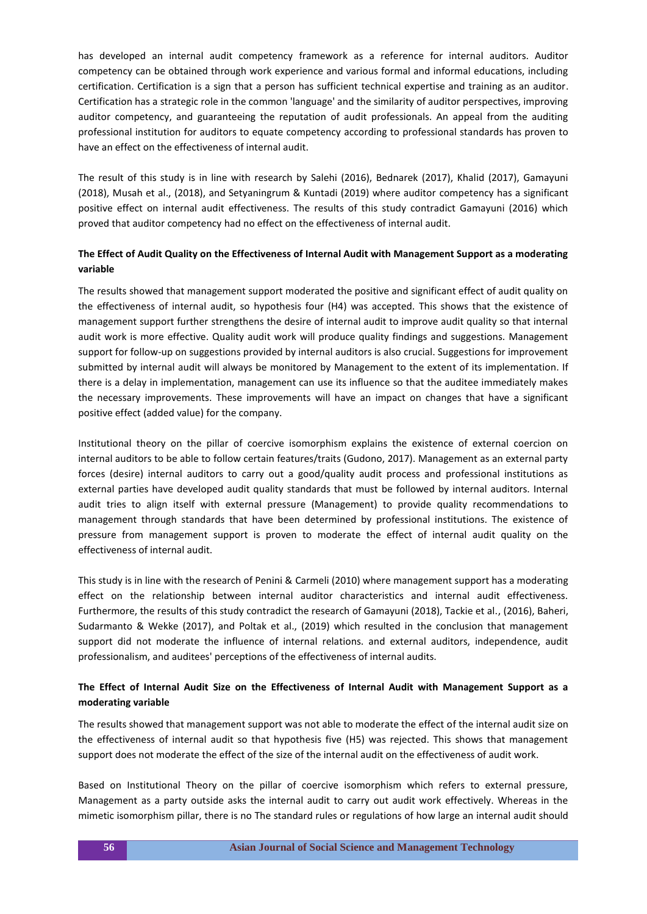has developed an internal audit competency framework as a reference for internal auditors. Auditor competency can be obtained through work experience and various formal and informal educations, including certification. Certification is a sign that a person has sufficient technical expertise and training as an auditor. Certification has a strategic role in the common 'language' and the similarity of auditor perspectives, improving auditor competency, and guaranteeing the reputation of audit professionals. An appeal from the auditing professional institution for auditors to equate competency according to professional standards has proven to have an effect on the effectiveness of internal audit.

The result of this study is in line with research by Salehi (2016), Bednarek (2017), Khalid (2017), Gamayuni (2018), Musah et al., (2018), and Setyaningrum & Kuntadi (2019) where auditor competency has a significant positive effect on internal audit effectiveness. The results of this study contradict Gamayuni (2016) which proved that auditor competency had no effect on the effectiveness of internal audit.

# **The Effect of Audit Quality on the Effectiveness of Internal Audit with Management Support as a moderating variable**

The results showed that management support moderated the positive and significant effect of audit quality on the effectiveness of internal audit, so hypothesis four (H4) was accepted. This shows that the existence of management support further strengthens the desire of internal audit to improve audit quality so that internal audit work is more effective. Quality audit work will produce quality findings and suggestions. Management support for follow-up on suggestions provided by internal auditors is also crucial. Suggestions for improvement submitted by internal audit will always be monitored by Management to the extent of its implementation. If there is a delay in implementation, management can use its influence so that the auditee immediately makes the necessary improvements. These improvements will have an impact on changes that have a significant positive effect (added value) for the company.

Institutional theory on the pillar of coercive isomorphism explains the existence of external coercion on internal auditors to be able to follow certain features/traits (Gudono, 2017). Management as an external party forces (desire) internal auditors to carry out a good/quality audit process and professional institutions as external parties have developed audit quality standards that must be followed by internal auditors. Internal audit tries to align itself with external pressure (Management) to provide quality recommendations to management through standards that have been determined by professional institutions. The existence of pressure from management support is proven to moderate the effect of internal audit quality on the effectiveness of internal audit.

This study is in line with the research of Penini & Carmeli (2010) where management support has a moderating effect on the relationship between internal auditor characteristics and internal audit effectiveness. Furthermore, the results of this study contradict the research of Gamayuni (2018), Tackie et al., (2016), Baheri, Sudarmanto & Wekke (2017), and Poltak et al., (2019) which resulted in the conclusion that management support did not moderate the influence of internal relations. and external auditors, independence, audit professionalism, and auditees' perceptions of the effectiveness of internal audits.

# **The Effect of Internal Audit Size on the Effectiveness of Internal Audit with Management Support as a moderating variable**

The results showed that management support was not able to moderate the effect of the internal audit size on the effectiveness of internal audit so that hypothesis five (H5) was rejected. This shows that management support does not moderate the effect of the size of the internal audit on the effectiveness of audit work.

Based on Institutional Theory on the pillar of coercive isomorphism which refers to external pressure, Management as a party outside asks the internal audit to carry out audit work effectively. Whereas in the mimetic isomorphism pillar, there is no The standard rules or regulations of how large an internal audit should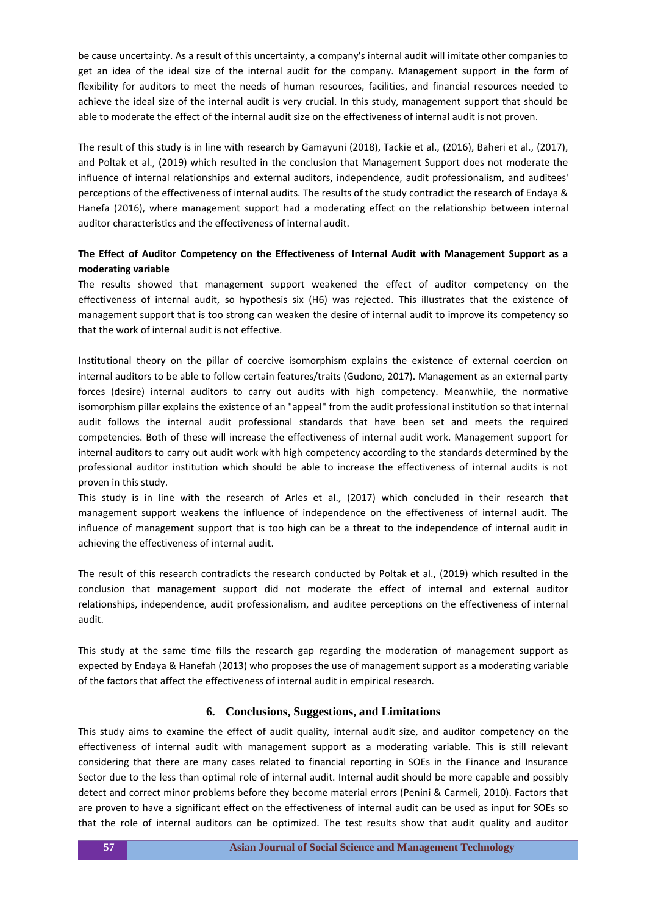be cause uncertainty. As a result of this uncertainty, a company's internal audit will imitate other companies to get an idea of the ideal size of the internal audit for the company. Management support in the form of flexibility for auditors to meet the needs of human resources, facilities, and financial resources needed to achieve the ideal size of the internal audit is very crucial. In this study, management support that should be able to moderate the effect of the internal audit size on the effectiveness of internal audit is not proven.

The result of this study is in line with research by Gamayuni (2018), Tackie et al., (2016), Baheri et al., (2017), and Poltak et al., (2019) which resulted in the conclusion that Management Support does not moderate the influence of internal relationships and external auditors, independence, audit professionalism, and auditees' perceptions of the effectiveness of internal audits. The results of the study contradict the research of Endaya & Hanefa (2016), where management support had a moderating effect on the relationship between internal auditor characteristics and the effectiveness of internal audit.

# **The Effect of Auditor Competency on the Effectiveness of Internal Audit with Management Support as a moderating variable**

The results showed that management support weakened the effect of auditor competency on the effectiveness of internal audit, so hypothesis six (H6) was rejected. This illustrates that the existence of management support that is too strong can weaken the desire of internal audit to improve its competency so that the work of internal audit is not effective.

Institutional theory on the pillar of coercive isomorphism explains the existence of external coercion on internal auditors to be able to follow certain features/traits (Gudono, 2017). Management as an external party forces (desire) internal auditors to carry out audits with high competency. Meanwhile, the normative isomorphism pillar explains the existence of an "appeal" from the audit professional institution so that internal audit follows the internal audit professional standards that have been set and meets the required competencies. Both of these will increase the effectiveness of internal audit work. Management support for internal auditors to carry out audit work with high competency according to the standards determined by the professional auditor institution which should be able to increase the effectiveness of internal audits is not proven in this study.

This study is in line with the research of Arles et al., (2017) which concluded in their research that management support weakens the influence of independence on the effectiveness of internal audit. The influence of management support that is too high can be a threat to the independence of internal audit in achieving the effectiveness of internal audit.

The result of this research contradicts the research conducted by Poltak et al., (2019) which resulted in the conclusion that management support did not moderate the effect of internal and external auditor relationships, independence, audit professionalism, and auditee perceptions on the effectiveness of internal audit.

This study at the same time fills the research gap regarding the moderation of management support as expected by Endaya & Hanefah (2013) who proposes the use of management support as a moderating variable of the factors that affect the effectiveness of internal audit in empirical research.

## **6. Conclusions, Suggestions, and Limitations**

This study aims to examine the effect of audit quality, internal audit size, and auditor competency on the effectiveness of internal audit with management support as a moderating variable. This is still relevant considering that there are many cases related to financial reporting in SOEs in the Finance and Insurance Sector due to the less than optimal role of internal audit. Internal audit should be more capable and possibly detect and correct minor problems before they become material errors (Penini & Carmeli, 2010). Factors that are proven to have a significant effect on the effectiveness of internal audit can be used as input for SOEs so that the role of internal auditors can be optimized. The test results show that audit quality and auditor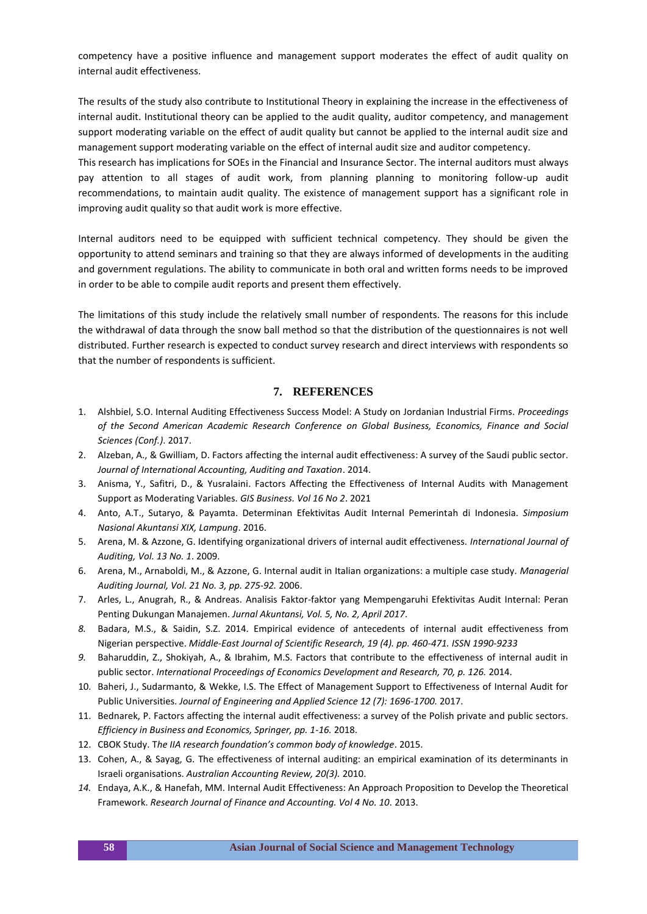competency have a positive influence and management support moderates the effect of audit quality on internal audit effectiveness.

The results of the study also contribute to Institutional Theory in explaining the increase in the effectiveness of internal audit. Institutional theory can be applied to the audit quality, auditor competency, and management support moderating variable on the effect of audit quality but cannot be applied to the internal audit size and management support moderating variable on the effect of internal audit size and auditor competency.

This research has implications for SOEs in the Financial and Insurance Sector. The internal auditors must always pay attention to all stages of audit work, from planning planning to monitoring follow-up audit recommendations, to maintain audit quality. The existence of management support has a significant role in improving audit quality so that audit work is more effective.

Internal auditors need to be equipped with sufficient technical competency. They should be given the opportunity to attend seminars and training so that they are always informed of developments in the auditing and government regulations. The ability to communicate in both oral and written forms needs to be improved in order to be able to compile audit reports and present them effectively.

The limitations of this study include the relatively small number of respondents. The reasons for this include the withdrawal of data through the snow ball method so that the distribution of the questionnaires is not well distributed. Further research is expected to conduct survey research and direct interviews with respondents so that the number of respondents is sufficient.

## **7. REFERENCES**

- 1. Alshbiel, S.O. Internal Auditing Effectiveness Success Model: A Study on Jordanian Industrial Firms. *Proceedings of the Second American Academic Research Conference on Global Business, Economics, Finance and Social Sciences (Conf.)*. 2017.
- 2. Alzeban, A., & Gwilliam, D. Factors affecting the internal audit effectiveness: A survey of the Saudi public sector. *Journal of International Accounting, Auditing and Taxation*. 2014.
- 3. Anisma, Y., Safitri, D., & Yusralaini. Factors Affecting the Effectiveness of Internal Audits with Management Support as Moderating Variables. *GIS Business. Vol 16 No 2*. 2021
- 4. Anto, A.T., Sutaryo, & Payamta. Determinan Efektivitas Audit Internal Pemerintah di Indonesia. *Simposium Nasional Akuntansi XIX, Lampung*. 2016.
- 5. Arena, M. & Azzone, G. Identifying organizational drivers of internal audit effectiveness. *International Journal of Auditing, Vol. 13 No. 1*. 2009.
- 6. Arena, M., Arnaboldi, M., & Azzone, G. Internal audit in Italian organizations: a multiple case study. *Managerial Auditing Journal, Vol. 21 No. 3, pp. 275-92.* 2006.
- 7. Arles, L., Anugrah, R., & Andreas. Analisis Faktor-faktor yang Mempengaruhi Efektivitas Audit Internal: Peran Penting Dukungan Manajemen. *Jurnal Akuntansi, Vol. 5, No. 2, April 2017*.
- *8.* Badara, M.S., & Saidin, S.Z. 2014. Empirical evidence of antecedents of internal audit effectiveness from Nigerian perspective. *Middle-East Journal of Scientific Research, 19 (4). pp. 460-471. ISSN 1990-9233*
- *9.* Baharuddin, Z., Shokiyah, A., & Ibrahim, M.S. Factors that contribute to the effectiveness of internal audit in public sector. *International Proceedings of Economics Development and Research, 70, p. 126.* 2014.
- 10. Baheri, J., Sudarmanto, & Wekke, I.S. The Effect of Management Support to Effectiveness of Internal Audit for Public Universities. *Journal of Engineering and Applied Science 12 (7): 1696-1700.* 2017.
- 11. Bednarek, P. Factors affecting the internal audit effectiveness: a survey of the Polish private and public sectors. *Efficiency in Business and Economics, Springer, pp. 1-16.* 2018.
- 12. CBOK Study. T*he IIA research foundation's common body of knowledge*. 2015.
- 13. Cohen, A., & Sayag, G. The effectiveness of internal auditing: an empirical examination of its determinants in Israeli organisations. *Australian Accounting Review, 20(3).* 2010.
- *14.* Endaya, A.K., & Hanefah, MM. Internal Audit Effectiveness: An Approach Proposition to Develop the Theoretical Framework. *Research Journal of Finance and Accounting. Vol 4 No. 10.* 2013.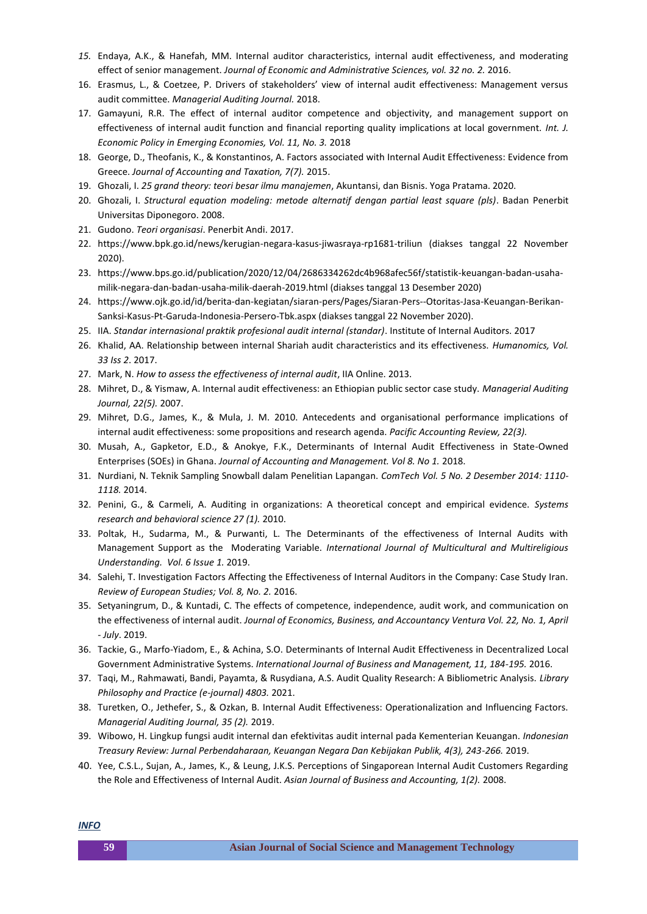- *15.* Endaya, A.K., & Hanefah, MM. Internal auditor characteristics, internal audit effectiveness, and moderating effect of senior management. *Journal of Economic and Administrative Sciences, vol. 32 no. 2.* 2016.
- 16. Erasmus, L., & Coetzee, P. Drivers of stakeholders' view of internal audit effectiveness: Management versus audit committee. *Managerial Auditing Journal.* 2018.
- 17. Gamayuni, R.R. The effect of internal auditor competence and objectivity, and management support on effectiveness of internal audit function and financial reporting quality implications at local government. *Int. J. Economic Policy in Emerging Economies, Vol. 11, No. 3.* 2018
- 18. George, D., Theofanis, K., & Konstantinos, A. Factors associated with Internal Audit Effectiveness: Evidence from Greece. *Journal of Accounting and Taxation, 7(7).* 2015.
- 19. Ghozali, I. *25 grand theory: teori besar ilmu manajemen*, Akuntansi, dan Bisnis. Yoga Pratama. 2020.
- 20. Ghozali, I. *Structural equation modeling: metode alternatif dengan partial least square (pls)*. Badan Penerbit Universitas Diponegoro. 2008.
- 21. Gudono. *Teori organisasi*. Penerbit Andi. 2017.
- 22. https://www.bpk.go.id/news/kerugian-negara-kasus-jiwasraya-rp1681-triliun (diakses tanggal 22 November 2020).
- 23. https://www.bps.go.id/publication/2020/12/04/2686334262dc4b968afec56f/statistik-keuangan-badan-usahamilik-negara-dan-badan-usaha-milik-daerah-2019.html (diakses tanggal 13 Desember 2020)
- 24. https://www.ojk.go.id/id/berita-dan-kegiatan/siaran-pers/Pages/Siaran-Pers--Otoritas-Jasa-Keuangan-Berikan-Sanksi-Kasus-Pt-Garuda-Indonesia-Persero-Tbk.aspx (diakses tanggal 22 November 2020).
- 25. IIA. *Standar internasional praktik profesional audit internal (standar)*. Institute of Internal Auditors. 2017
- 26. Khalid, AA. Relationship between internal Shariah audit characteristics and its effectiveness. *Humanomics, Vol. 33 Iss 2*. 2017.
- 27. Mark, N. *How to assess the effectiveness of internal audit*, IIA Online. 2013.
- 28. Mihret, D., & Yismaw, A. Internal audit effectiveness: an Ethiopian public sector case study. *Managerial Auditing Journal, 22(5).* 2007.
- 29. Mihret, D.G., James, K., & Mula, J. M. 2010. Antecedents and organisational performance implications of internal audit effectiveness: some propositions and research agenda. *Pacific Accounting Review, 22(3).*
- 30. Musah, A., Gapketor, E.D., & Anokye, F.K., Determinants of Internal Audit Effectiveness in State-Owned Enterprises (SOEs) in Ghana. *Journal of Accounting and Management. Vol 8. No 1.* 2018.
- 31. Nurdiani, N. Teknik Sampling Snowball dalam Penelitian Lapangan. *ComTech Vol. 5 No. 2 Desember 2014: 1110- 1118.* 2014.
- 32. Penini, G., & Carmeli, A. Auditing in organizations: A theoretical concept and empirical evidence. *Systems research and behavioral science 27 (1).* 2010.
- 33. Poltak, H., Sudarma, M., & Purwanti, L. The Determinants of the effectiveness of Internal Audits with Management Support as the Moderating Variable. *International Journal of Multicultural and Multireligious Understanding. Vol. 6 Issue 1.* 2019.
- 34. Salehi, T. Investigation Factors Affecting the Effectiveness of Internal Auditors in the Company: Case Study Iran. *Review of European Studies; Vol. 8, No. 2.* 2016.
- 35. Setyaningrum, D., & Kuntadi, C. The effects of competence, independence, audit work, and communication on the effectiveness of internal audit. *Journal of Economics, Business, and Accountancy Ventura Vol. 22, No. 1, April - July*. 2019.
- 36. Tackie, G., Marfo-Yiadom, E., & Achina, S.O. Determinants of Internal Audit Effectiveness in Decentralized Local Government Administrative Systems. *International Journal of Business and Management, 11, 184-195.* 2016.
- 37. Taqi, M., Rahmawati, Bandi, Payamta, & Rusydiana, A.S. Audit Quality Research: A Bibliometric Analysis. *Library Philosophy and Practice (e-journal) 4803.* 2021.
- 38. Turetken, O., Jethefer, S., & Ozkan, B. Internal Audit Effectiveness: Operationalization and Influencing Factors. *Managerial Auditing Journal, 35 (2).* 2019.
- 39. Wibowo, H. Lingkup fungsi audit internal dan efektivitas audit internal pada Kementerian Keuangan. *Indonesian Treasury Review: Jurnal Perbendaharaan, Keuangan Negara Dan Kebijakan Publik, 4(3), 243-266.* 2019.
- 40. Yee, C.S.L., Sujan, A., James, K., & Leung, J.K.S. Perceptions of Singaporean Internal Audit Customers Regarding the Role and Effectiveness of Internal Audit. *Asian Journal of Business and Accounting, 1(2).* 2008.

*INFO*